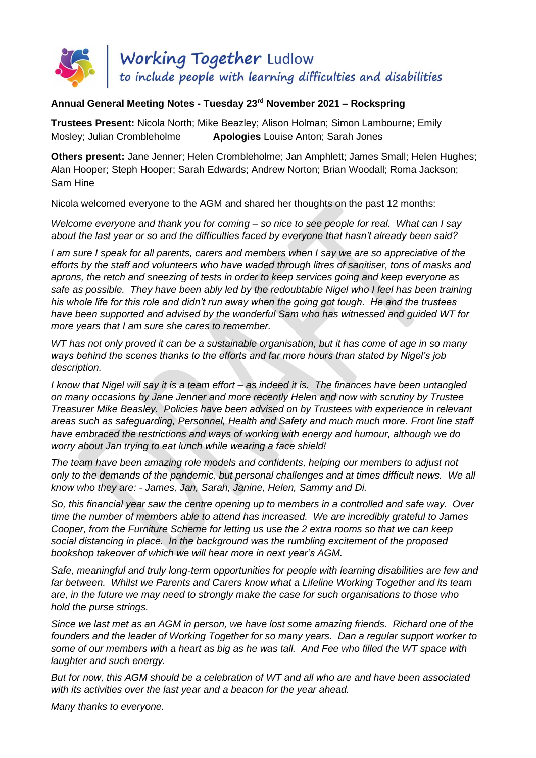

## **Annual General Meeting Notes - Tuesday 23 rd November 2021 – Rockspring**

**Trustees Present:** Nicola North; Mike Beazley; Alison Holman; Simon Lambourne; Emily Mosley; Julian Crombleholme **Apologies** Louise Anton; Sarah Jones

**Others present:** Jane Jenner; Helen Crombleholme; Jan Amphlett; James Small; Helen Hughes; Alan Hooper; Steph Hooper; Sarah Edwards; Andrew Norton; Brian Woodall; Roma Jackson; Sam Hine

Nicola welcomed everyone to the AGM and shared her thoughts on the past 12 months:

*Welcome everyone and thank you for coming – so nice to see people for real. What can I say about the last year or so and the difficulties faced by everyone that hasn't already been said?*

*I am sure I speak for all parents, carers and members when I say we are so appreciative of the efforts by the staff and volunteers who have waded through litres of sanitiser, tons of masks and aprons, the retch and sneezing of tests in order to keep services going and keep everyone as*  safe as possible. They have been ably led by the redoubtable Nigel who I feel has been training *his whole life for this role and didn't run away when the going got tough. He and the trustees have been supported and advised by the wonderful Sam who has witnessed and guided WT for more years that I am sure she cares to remember.*

*WT has not only proved it can be a sustainable organisation, but it has come of age in so many ways behind the scenes thanks to the efforts and far more hours than stated by Nigel's job description.* 

*I know that Nigel will say it is a team effort – as indeed it is. The finances have been untangled on many occasions by Jane Jenner and more recently Helen and now with scrutiny by Trustee Treasurer Mike Beasley. Policies have been advised on by Trustees with experience in relevant areas such as safeguarding, Personnel, Health and Safety and much much more. Front line staff have embraced the restrictions and ways of working with energy and humour, although we do worry about Jan trying to eat lunch while wearing a face shield!*

*The team have been amazing role models and confidents, helping our members to adjust not only to the demands of the pandemic, but personal challenges and at times difficult news. We all know who they are: - James, Jan, Sarah, Janine, Helen, Sammy and Di.*

*So, this financial year saw the centre opening up to members in a controlled and safe way. Over time the number of members able to attend has increased. We are incredibly grateful to James Cooper, from the Furniture Scheme for letting us use the 2 extra rooms so that we can keep social distancing in place. In the background was the rumbling excitement of the proposed bookshop takeover of which we will hear more in next year's AGM.*

*Safe, meaningful and truly long-term opportunities for people with learning disabilities are few and*  far between. Whilst we Parents and Carers know what a Lifeline Working Together and its team *are, in the future we may need to strongly make the case for such organisations to those who hold the purse strings.*

*Since we last met as an AGM in person, we have lost some amazing friends. Richard one of the founders and the leader of Working Together for so many years. Dan a regular support worker to some of our members with a heart as big as he was tall. And Fee who filled the WT space with laughter and such energy.*

*But for now, this AGM should be a celebration of WT and all who are and have been associated with its activities over the last year and a beacon for the year ahead.*

*Many thanks to everyone.*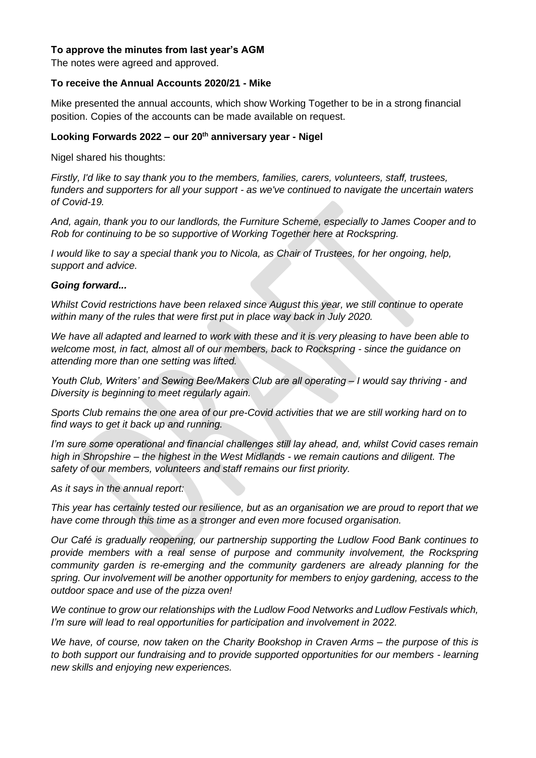## **To approve the minutes from last year's AGM**

The notes were agreed and approved.

#### **To receive the Annual Accounts 2020/21 - Mike**

Mike presented the annual accounts, which show Working Together to be in a strong financial position. Copies of the accounts can be made available on request.

### **Looking Forwards 2022 – our 20th anniversary year - Nigel**

Nigel shared his thoughts:

*Firstly, I'd like to say thank you to the members, families, carers, volunteers, staff, trustees, funders and supporters for all your support - as we've continued to navigate the uncertain waters of Covid-19.* 

*And, again, thank you to our landlords, the Furniture Scheme, especially to James Cooper and to Rob for continuing to be so supportive of Working Together here at Rockspring.* 

*I would like to say a special thank you to Nicola, as Chair of Trustees, for her ongoing, help, support and advice.*

#### *Going forward...*

*Whilst Covid restrictions have been relaxed since August this year, we still continue to operate within many of the rules that were first put in place way back in July 2020.*

*We have all adapted and learned to work with these and it is very pleasing to have been able to welcome most, in fact, almost all of our members, back to Rockspring - since the guidance on attending more than one setting was lifted.*

*Youth Club, Writers' and Sewing Bee/Makers Club are all operating – I would say thriving - and Diversity is beginning to meet regularly again.* 

*Sports Club remains the one area of our pre-Covid activities that we are still working hard on to find ways to get it back up and running.*

*I'm sure some operational and financial challenges still lay ahead, and, whilst Covid cases remain high in Shropshire – the highest in the West Midlands - we remain cautions and diligent. The safety of our members, volunteers and staff remains our first priority.*

*As it says in the annual report:*

*This year has certainly tested our resilience, but as an organisation we are proud to report that we have come through this time as a stronger and even more focused organisation.* 

*Our Café is gradually reopening, our partnership supporting the Ludlow Food Bank continues to provide members with a real sense of purpose and community involvement, the Rockspring community garden is re-emerging and the community gardeners are already planning for the spring. Our involvement will be another opportunity for members to enjoy gardening, access to the outdoor space and use of the pizza oven!*

*We continue to grow our relationships with the Ludlow Food Networks and Ludlow Festivals which, I'm sure will lead to real opportunities for participation and involvement in 2022.*

*We have, of course, now taken on the Charity Bookshop in Craven Arms – the purpose of this is to both support our fundraising and to provide supported opportunities for our members - learning new skills and enjoying new experiences.*